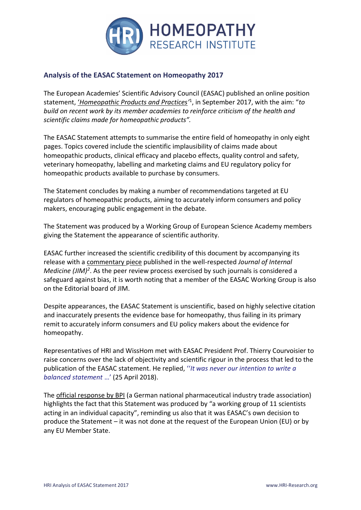

# **Analysis of the EASAC Statement on Homeopathy 2017**

The European Academies' Scientific Advisory Council (EASAC) published an online position statement, '*[Homeopathic Products and Practices](https://easac.eu/fileadmin/PDF_s/reports_statements/EASAC_Homepathy_statement_web_final.pdf)'* 1 , in September 2017, with the aim: "*to build on recent work by its member academies to reinforce criticism of the health and scientific claims made for homeopathic products".*

The EASAC Statement attempts to summarise the entire field of homeopathy in only eight pages. Topics covered include the scientific implausibility of claims made about homeopathic products, clinical efficacy and placebo effects, quality control and safety, veterinary homeopathy, labelling and marketing claims and EU regulatory policy for homeopathic products available to purchase by consumers.

The Statement concludes by making a number of recommendations targeted at EU regulators of homeopathic products, aiming to accurately inform consumers and policy makers, encouraging public engagement in the debate.

The Statement was produced by a Working Group of European Science Academy members giving the Statement the appearance of scientific authority.

EASAC further increased the scientific credibility of this document by accompanying its release with a [commentary piece](http://onlinelibrary.wiley.com/doi/10.1111/joim.12676/abstract) published in the well-respected *Journal of Internal Medicine (JIM)<sup>2</sup>*. As the peer review process exercised by such journals is considered a safeguard against bias, it is worth noting that a member of the EASAC Working Group is also on the Editorial board of JIM.

Despite appearances, the EASAC Statement is unscientific, based on highly selective citation and inaccurately presents the evidence base for homeopathy, thus failing in its primary remit to accurately inform consumers and EU policy makers about the evidence for homeopathy.

Representatives of HRI and WissHom met with EASAC President Prof. Thierry Courvoisier to raise concerns over the lack of objectivity and scientific rigour in the process that led to the publication of the EASAC statement. He replied, ''*It was never our intention to write a balanced statement* …' (25 April 2018).

The [official response by BPI](https://www.hri-research.org/wp-content/uploads/2017/09/2017-09-28_BPI-Position_on_EASAC_Publication.pdf) (a German national pharmaceutical industry trade association) highlights the fact that this Statement was produced by "a working group of 11 scientists acting in an individual capacity", reminding us also that it was EASAC's own decision to produce the Statement – it was not done at the request of the European Union (EU) or by any EU Member State.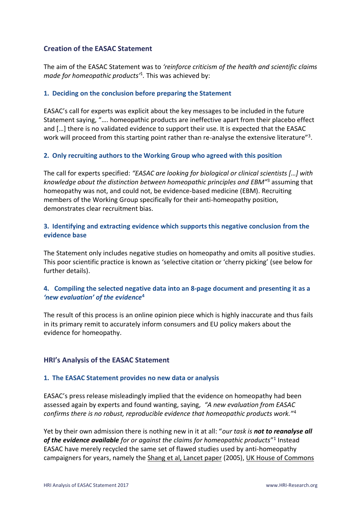## **Creation of the EASAC Statement**

The aim of the EASAC Statement was to *'reinforce criticism of the health and scientific claims made for homeopathic products'* 1 *.* This was achieved by:

### **1. Deciding on the conclusion before preparing the Statement**

EASAC's call for experts was explicit about the key messages to be included in the future Statement saying, "…. homeopathic products are ineffective apart from their placebo effect and […] there is no validated evidence to support their use. It is expected that the EASAC work will proceed from this starting point rather than re-analyse the extensive literature"<sup>3</sup>.

## **2. Only recruiting authors to the Working Group who agreed with this position**

The call for experts specified: *"EASAC are looking for biological or clinical scientists […] with knowledge about the distinction between homeopathic principles and EBM"* <sup>3</sup> assuming that homeopathy was not, and could not, be evidence-based medicine (EBM). Recruiting members of the Working Group specifically for their anti-homeopathy position, demonstrates clear recruitment bias.

## **3. Identifying and extracting evidence which supports this negative conclusion from the evidence base**

The Statement only includes negative studies on homeopathy and omits all positive studies. This poor scientific practice is known as 'selective citation or 'cherry picking' (see below for further details).

## **4. Compiling the selected negative data into an 8-page document and presenting it as a** *'new evaluation' of the evidence***<sup>4</sup>**

The result of this process is an online opinion piece which is highly inaccurate and thus fails in its primary remit to accurately inform consumers and EU policy makers about the evidence for homeopathy.

## **HRI's Analysis of the EASAC Statement**

#### **1. The EASAC Statement provides no new data or analysis**

EASAC's press release misleadingly implied that the evidence on homeopathy had been assessed again by experts and found wanting, saying*, "A new evaluation from EASAC confirms there is no robust, reproducible evidence that homeopathic products work."*<sup>4</sup>

Yet by their own admission there is nothing new in it at all: "*our task is not to reanalyse all of the evidence available for or against the claims for homeopathic products*" 1 Instead EASAC have merely recycled the same set of flawed studies used by anti-homeopathy campaigners for years, namely the [Shang et al, Lancet paper](https://www.hri-research.org/resources/homeopathy-the-debate/the-lancet-paper-by-shang-et-al/) (2005), [UK House of Commons](https://www.hri-research.org/resources/homeopathy-the-debate/uk-select-committee-report/)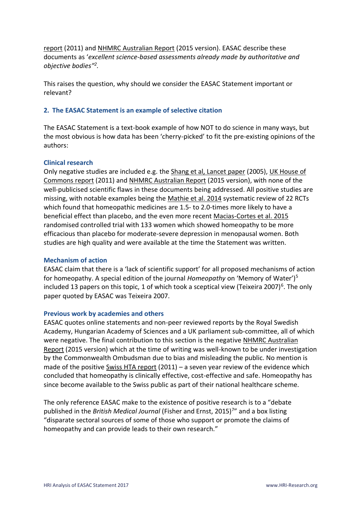[report](https://www.hri-research.org/resources/homeopathy-the-debate/uk-select-committee-report/) (2011) and [NHMRC Australian Report](https://www.hri-research.org/resources/homeopathy-the-debate/the-australian-report-on-homeopathy/) (2015 version). EASAC describe these documents as '*excellent science-based assessments already made by authoritative and objective bodies" 2 .*

This raises the question, why should we consider the EASAC Statement important or relevant?

#### **2. The EASAC Statement is an example of selective citation**

The EASAC Statement is a text-book example of how NOT to do science in many ways, but the most obvious is how data has been 'cherry-picked' to fit the pre-existing opinions of the authors:

#### **Clinical research**

Only negative studies are included e.g. th[e Shang et al, Lancet paper](https://www.hri-research.org/resources/homeopathy-the-debate/the-lancet-paper-by-shang-et-al/) (2005), [UK House of](https://www.hri-research.org/resources/homeopathy-the-debate/uk-select-committee-report/)  [Commons report](https://www.hri-research.org/resources/homeopathy-the-debate/uk-select-committee-report/) (2011) and [NHMRC Australian Report](https://www.hri-research.org/resources/homeopathy-the-debate/the-australian-report-on-homeopathy/) (2015 version), with none of the well-publicised scientific flaws in these documents being addressed. All positive studies are missing, with notable examples being the [Mathie et al. 2014](https://www.hri-research.org/wp-content/uploads/2018/02/HRI_ResearchArticle_29_RobertsTournier_IndividualisedHomeopathyReview.pdf) systematic review of 22 RCTs which found that homeopathic medicines are 1.5- to 2.0-times more likely to have a beneficial effect than placebo, and the even more recent [Macias-Cortes et al. 2015](http://www.plosone.org/article/fetchObject.action?uri=info%3Adoi%2F10.1371%2Fjournal.pone.0118440&representation=PDF) randomised controlled trial with 133 women which showed homeopathy to be more efficacious than placebo for moderate-severe depression in menopausal women. Both studies are high quality and were available at the time the Statement was written.

#### **Mechanism of action**

EASAC claim that there is a 'lack of scientific support' for all proposed mechanisms of action for homeopathy. A special edition of the journal *Homeopathy* on 'Memory of Water')<sup>5</sup> included 13 papers on this topic, 1 of which took a sceptical view (Teixeira 2007)<sup>6</sup>. The only paper quoted by EASAC was Teixeira 2007.

#### **Previous work by academies and others**

EASAC quotes online statements and non-peer reviewed reports by the Royal Swedish Academy, Hungarian Academy of Sciences and a UK parliament sub-committee, all of which were negative. The final contribution to this section is the negative [NHMRC Australian](https://www.hri-research.org/resources/homeopathy-the-debate/the-australian-report-on-homeopathy/)  [Report](https://www.hri-research.org/resources/homeopathy-the-debate/the-australian-report-on-homeopathy/) (2015 version) which at the time of writing was well-known to be under investigation by the Commonwealth Ombudsman due to bias and misleading the public. No mention is made of the positive [Swiss HTA report](https://www.hri-research.org/resources/homeopathy-the-debate/the-swiss-hta-report-on-homeopathy/) (2011) – a seven year review of the evidence which concluded that homeopathy is clinically effective, cost-effective and safe. Homeopathy has since become available to the Swiss public as part of their national healthcare scheme.

The only reference EASAC make to the existence of positive research is to a "debate published in the *British Medical Journal* (Fisher and Ernst, 2015)<sup>7</sup>" and a box listing "disparate sectoral sources of some of those who support or promote the claims of homeopathy and can provide leads to their own research."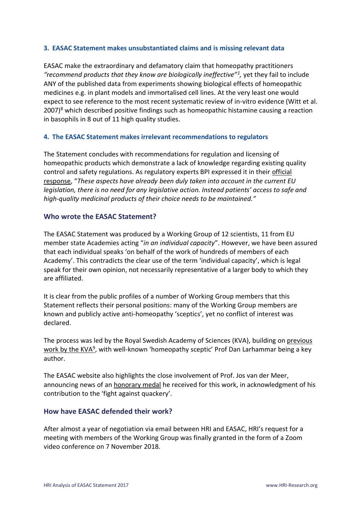## **3. EASAC Statement makes unsubstantiated claims and is missing relevant data**

EASAC make the extraordinary and defamatory claim that homeopathy practitioners *"recommend products that they know are biologically ineffective"<sup>1</sup> ,* yet they fail to include ANY of the published data from experiments showing biological effects of homeopathic medicines e.g. in plant models and immortalised cell lines. At the very least one would expect to see reference to the most recent systematic review of in-vitro evidence (Witt et al. 2007)<sup>8</sup> which described positive findings such as homeopathic histamine causing a reaction in basophils in 8 out of 11 high quality studies.

## **4. The EASAC Statement makes irrelevant recommendations to regulators**

The Statement concludes with recommendations for regulation and licensing of homeopathic products which demonstrate a lack of knowledge regarding existing quality control and safety regulations. As regulatory experts BPI expressed it in their official [response](https://www.hri-research.org/wp-content/uploads/2017/09/2017-09-28_BPI-Position_on_EASAC_Publication.pdf), "*These aspects have already been duly taken into account in the current EU legislation, there is no need for any legislative action. Instead patients' access to safe and high-quality medicinal products of their choice needs to be maintained."*

## **Who wrote the EASAC Statement?**

The EASAC Statement was produced by a Working Group of 12 scientists, 11 from EU member state Academies acting "*in an individual capacity*". However, we have been assured that each individual speaks 'on behalf of the work of hundreds of members of each Academy'. This contradicts the clear use of the term 'individual capacity', which is legal speak for their own opinion, not necessarily representative of a larger body to which they are affiliated.

It is clear from the public profiles of a number of Working Group members that this Statement reflects their personal positions: many of the Working Group members are known and publicly active anti-homeopathy 'sceptics', yet no conflict of interest was declared.

The process was led by the Royal Swedish Academy of Sciences (KVA), building o[n previous](https://www.kva.se/en/nyheter/remissvar-om-homeopatiska-lakemedel)  [work by the KVA](https://www.kva.se/en/nyheter/remissvar-om-homeopatiska-lakemedel)<sup>9</sup>, with well-known 'homeopathy sceptic' Prof Dan Larhammar being a key author.

The EASAC website also highlights the close involvement of Prof. Jos van der Meer, announcing news of an [honorary medal](https://easac.eu/news/details/prof-jos-van-der-meer-awarded-medal-for-work-on-homeopathy/) he received for this work, in acknowledgment of his contribution to the 'fight against quackery'.

## **How have EASAC defended their work?**

After almost a year of negotiation via email between HRI and EASAC, HRI's request for a meeting with members of the Working Group was finally granted in the form of a Zoom video conference on 7 November 2018.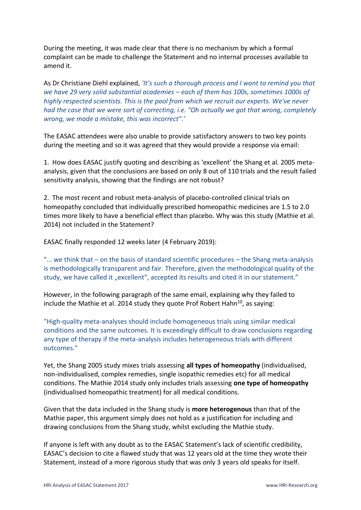During the meeting, it was made clear that there is no mechanism by which a formal complaint can be made to challenge the Statement and no internal processes available to amend it.

As Dr Christiane Diehl explained, *'It's such a thorough process and I want to remind you that we have 29 very solid substantial academies – each of them has 100s, sometimes 1000s of highly respected scientists. This is the pool from which we recruit our experts. We've never had the case that we were sort of correcting, i.e. "Oh actually we got that wrong, completely wrong, we made a mistake, this was incorrect".'*

The EASAC attendees were also unable to provide satisfactory answers to two key points during the meeting and so it was agreed that they would provide a response via email:

1. How does EASAC justify quoting and describing as 'excellent' the Shang et al. 2005 metaanalysis, given that the conclusions are based on only 8 out of 110 trials and the result failed sensitivity analysis, showing that the findings are not robust?

2. The most recent and robust meta-analysis of placebo-controlled clinical trials on homeopathy concluded that individually prescribed homeopathic medicines are 1.5 to 2.0 times more likely to have a beneficial effect than placebo. Why was this study (Mathie et al. 2014) not included in the Statement?

EASAC finally responded 12 weeks later (4 February 2019):

"... we think that – on the basis of standard scientific procedures – the Shang meta-analysis is methodologically transparent and fair. Therefore, given the methodological quality of the study, we have called it "excellent", accepted its results and cited it in our statement."

However, in the following paragraph of the same email, explaining why they failed to include the Mathie et al. 2014 study they quote Prof Robert Hahn<sup>10</sup>, as saying:

"High-quality meta-analyses should include homogeneous trials using similar medical conditions and the same outcomes. It is exceedingly difficult to draw conclusions regarding any type of therapy if the meta-analysis includes heterogeneous trials with different outcomes."

Yet, the Shang 2005 study mixes trials assessing **all types of homeopathy** (individualised, non-individualised, complex remedies, single isopathic remedies etc) for all medical conditions. The Mathie 2014 study only includes trials assessing **one type of homeopathy** (individualised homeopathic treatment) for all medical conditions.

Given that the data included in the Shang study is **more heterogenous** than that of the Mathie paper, this argument simply does not hold as a justification for including and drawing conclusions from the Shang study, whilst excluding the Mathie study.

If anyone is left with any doubt as to the EASAC Statement's lack of scientific credibility, EASAC's decision to cite a flawed study that was 12 years old at the time they wrote their Statement, instead of a more rigorous study that was only 3 years old speaks for itself.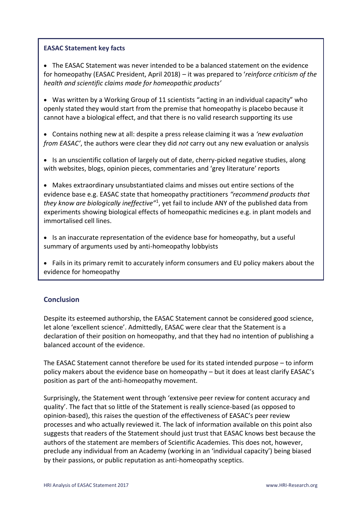### **EASAC Statement key facts**

• The EASAC Statement was never intended to be a balanced statement on the evidence for homeopathy (EASAC President, April 2018) – it was prepared to '*reinforce criticism of the health and scientific claims made for homeopathic products'* 

• Was written by a Working Group of 11 scientists "acting in an individual capacity" who openly stated they would start from the premise that homeopathy is placebo because it cannot have a biological effect, and that there is no valid research supporting its use

• Contains nothing new at all: despite a press release claiming it was a *'new evaluation from EASAC'*, the authors were clear they did *not* carry out any new evaluation or analysis

• Is an unscientific collation of largely out of date, cherry-picked negative studies, along with websites, blogs, opinion pieces, commentaries and 'grey literature' reports

• Makes extraordinary unsubstantiated claims and misses out entire sections of the evidence base e.g. EASAC state that homeopathy practitioners *"recommend products that they know are biologically ineffective"*<sup>1</sup> , yet fail to include ANY of the published data from experiments showing biological effects of homeopathic medicines e.g. in plant models and immortalised cell lines.

• Is an inaccurate representation of the evidence base for homeopathy, but a useful summary of arguments used by anti-homeopathy lobbyists

• Fails in its primary remit to accurately inform consumers and EU policy makers about the evidence for homeopathy

## **Conclusion**

Despite its esteemed authorship, the EASAC Statement cannot be considered good science, let alone 'excellent science'. Admittedly, EASAC were clear that the Statement is a declaration of their position on homeopathy, and that they had no intention of publishing a balanced account of the evidence.

The EASAC Statement cannot therefore be used for its stated intended purpose – to inform policy makers about the evidence base on homeopathy – but it does at least clarify EASAC's position as part of the anti-homeopathy movement.

Surprisingly, the Statement went through 'extensive peer review for content accuracy and quality'. The fact that so little of the Statement is really science-based (as opposed to opinion-based), this raises the question of the effectiveness of EASAC's peer review processes and who actually reviewed it. The lack of information available on this point also suggests that readers of the Statement should just trust that EASAC knows best because the authors of the statement are members of Scientific Academies. This does not, however, preclude any individual from an Academy (working in an 'individual capacity') being biased by their passions, or public reputation as anti-homeopathy sceptics.